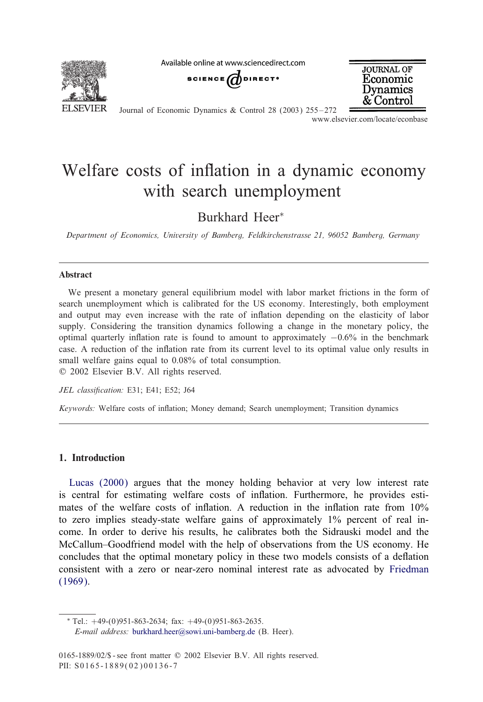

Available online at www.sciencedirect.com





Journal of Economic Dynamics & Control 28 (2003) 255 – 272 www.elsevier.com/locate/econbase

## Welfare costs of inflation in a dynamic economy with search unemployment

Burkhard Heer<sup>∗</sup>

*Department of Economics, University of Bamberg, Feldkirchenstrasse 21, 96052 Bamberg, Germany*

### Abstract

We present a monetary general equilibrium model with labor market frictions in the form of search unemployment which is calibrated for the US economy. Interestingly, both employment and output may even increase with the rate of inflation depending on the elasticity of labor supply. Considering the transition dynamics following a change in the monetary policy, the optimal quarterly inflation rate is found to amount to approximately  $-0.6\%$  in the benchmark case. A reduction of the inflation rate from its current level to its optimal value only results in small welfare gains equal to 0.08% of total consumption.

? 2002 Elsevier B.V. All rights reserved.

*JEL classication:* E31; E41; E52; J64

*Keywords:* Welfare costs of inflation; Money demand; Search unemployment; Transition dynamics

## 1. Introduction

Lucas (2000) argues that the money holding behavior at very low interest rate is central for estimating welfare costs of inflation. Furthermore, he provides estimates of the welfare costs of inflation. A reduction in the inflation rate from  $10\%$ [to zero](#page--1-0) implies steady-state welfare gains of approximately 1% percent of real income. In order to derive his results, he calibrates both the Sidrauski model and the McCallum–Goodfriend model with the help of observations from the US economy. He concludes that the optimal monetary policy in these two models consists of a deflation consistent with [a zero or near-zero nominal](mailto:burkhard.heer@sowi.uni-bamberg.de) interest rate as advocated by Friedman (1969).

 $*$  Tel.:  $+49-(0)951-863-2634$ ; fax:  $+49-(0)951-863-2635$ . *E-mail address:* burkhard.heer@sowi.uni-bamberg.de (B. Heer).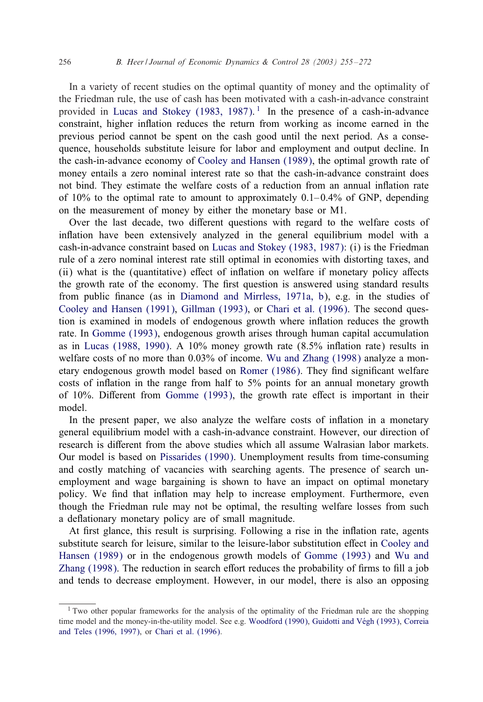#### 256 *B. Heer / Journal of Economic Dynamics & Control 28 (2003) 255 – 272*

In a variety of recent studies on the optimal quantity of money and the optimality of the Friedman rule, the use of cas[h has been motivated with a](#page--1-0) cash-in-advance constraint provided in Lucas and Stokey (1983, 1987).<sup>1</sup> In the presence of a cash-in-advance constraint, higher inflation reduces the return from working as income earned in the previous period cannot be spent on the cash good until the next period. As a consequence, households substitute leisure for labor and employment and output decline. In the cash-in-advance economy of Cooley and Hansen (1989), the optimal growth rate of money entails a zero nominal interest rate so that the cash-in-advance constraint does not bind. They estimate the welfar[e costs of a reduction from an a](#page--1-0)nnual inflation rate of  $10\%$  to the optimal rate to amount to approximately  $0.1-0.4\%$  of GNP, depending on the measurement of money by either the monetary base or M1.

Over the last decade, two different questions with regard to the welfare costs of inflation have been extensi[vely analyzed in the general equ](#page--1-0)ilibrium model with a [cash-in-advance constraint b](#page--1-0)ased on [Lucas an](#page--1-0)d S[tokey \(1983, 1987\):](#page--1-0) (i) is the Friedman rule of a zero nominal interest rate still optimal in economies with distorting taxes, and (ii) wh[at is the \(quanti](#page--1-0)tative) effect of inflation on welfare if monetary policy affects the g[rowth rate of the eco](#page--1-0)nomy. The first question is answered using standard results from public nance (as in Diamond and Mirr[less, 1971a, b\), e.g. in](#page--1-0) the studies of Cooley and Hansen (1991), Gillman (1993), or [Chari et](#page--1-0) al. (1996). The second question is examined in models of endogenous growth where inflation reduces the growth rate. In Gomme (1993), [endogenous grow](#page--1-0)th arises through human capital accumulation as in Lucas (1988, 1990). A 10% money growth rate  $(8.5\%$  inflation rate) results in welfare costs of no more than 0.03% of income. Wu and Zhang (1998) analyze a monetary endogenous growth model based on Romer (1986). They find significant welfare costs of inflation in the range from half to  $5\%$  points for an annual monetary growth of 10%. Different from [Gomme \(1993\),](#page--1-0) the growth rate effect is important in their model.

In the present paper, we also analyze the welfare costs of inflation in a monetary general equilibrium model with a cash-in-advance constraint. However, our direction of research is different from the above studies which all assume Walrasian labor markets. Our model is based on Pissarides (1990). Unemployment results from time-consuming and costly matching of vacancies with searching agents. The presence of search unemployment and wage bargaining is shown to have an impact on optim[al monetary](#page--1-0) policy. We find that inflation may help to increase e[mployment. Furth](#page--1-0)ermo[re,](#page--1-0) [even](#page--1-0) [though the Fr](#page--1-0)iedman rule may not be optimal, the resulting welfare losses from such a deflationary monetary policy are of small magnitude.

At first glance, this result is surprising. Following a rise in the inflation rate, agents substitute search for leisure, similar to the leisure-labor substitution effect in Cooley and Hansen (1989) or in the endogenous grow[th models of](#page--1-0) [Gomme \(1993\)](#page--1-0) and [Wu and](#page--1-0) [Zhang \(1998\). The](#page--1-0) red[uction in search](#page--1-0) effort reduces the probability of firms to fill a job and tends to decrease employment. However, in our model, there is also an opposing

<sup>&</sup>lt;sup>1</sup> Two other popular frameworks for the analysis of the optimality of the Friedman rule are the shopping time model and the money-in-the-utility model. See e.g. Woodford (1990), Guidotti and Vegh (1993), Correia and Teles (1996, 1997), or Chari et al. (1996).